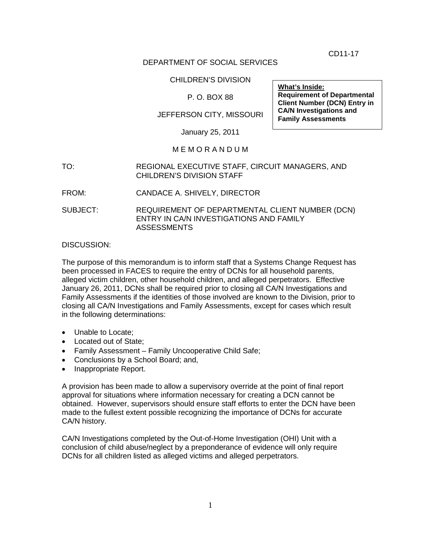CD11-17

## DEPARTMENT OF SOCIAL SERVICES

#### CHILDREN'S DIVISION

## P. O. BOX 88

# JEFFERSON CITY, MISSOURI

January 25, 2011

### M E M O R A N D U M

- TO: REGIONAL EXECUTIVE STAFF, CIRCUIT MANAGERS, AND CHILDREN'S DIVISION STAFF
- FROM: CANDACE A. SHIVELY, DIRECTOR

SUBJECT: REQUIREMENT OF DEPARTMENTAL CLIENT NUMBER (DCN) ENTRY IN CA/N INVESTIGATIONS AND FAMILY ASSESSMENTS

DISCUSSION:

The purpose of this memorandum is to inform staff that a Systems Change Request has been processed in FACES to require the entry of DCNs for all household parents, alleged victim children, other household children, and alleged perpetrators. Effective January 26, 2011, DCNs shall be required prior to closing all CA/N Investigations and Family Assessments if the identities of those involved are known to the Division, prior to closing all CA/N Investigations and Family Assessments, except for cases which result in the following determinations:

- Unable to Locate:
- Located out of State;
- Family Assessment Family Uncooperative Child Safe;
- Conclusions by a School Board; and,
- Inappropriate Report.

A provision has been made to allow a supervisory override at the point of final report approval for situations where information necessary for creating a DCN cannot be obtained. However, supervisors should ensure staff efforts to enter the DCN have been made to the fullest extent possible recognizing the importance of DCNs for accurate CA/N history.

CA/N Investigations completed by the Out-of-Home Investigation (OHI) Unit with a conclusion of child abuse/neglect by a preponderance of evidence will only require DCNs for all children listed as alleged victims and alleged perpetrators.

**What's Inside: Requirement of Departmental Client Number (DCN) Entry in CA/N Investigations and Family Assessments**